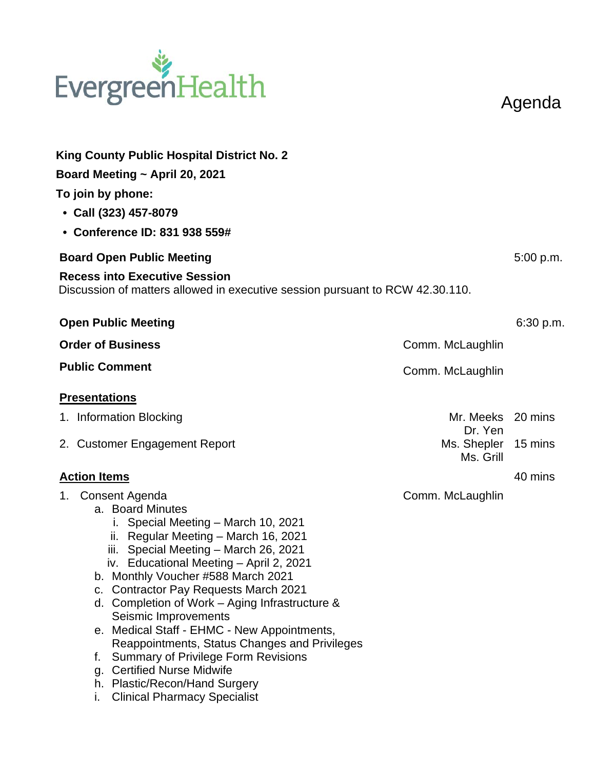## EvergreenHealth

Agenda

| <b>King County Public Hospital District No. 2</b>                                                                                                                                                                                                                                                                                                                                                                                                                                                                                                                              |                                                                                      |           |  |  |
|--------------------------------------------------------------------------------------------------------------------------------------------------------------------------------------------------------------------------------------------------------------------------------------------------------------------------------------------------------------------------------------------------------------------------------------------------------------------------------------------------------------------------------------------------------------------------------|--------------------------------------------------------------------------------------|-----------|--|--|
| Board Meeting ~ April 20, 2021                                                                                                                                                                                                                                                                                                                                                                                                                                                                                                                                                 |                                                                                      |           |  |  |
| To join by phone:                                                                                                                                                                                                                                                                                                                                                                                                                                                                                                                                                              |                                                                                      |           |  |  |
| • Call (323) 457-8079                                                                                                                                                                                                                                                                                                                                                                                                                                                                                                                                                          |                                                                                      |           |  |  |
| • Conference ID: 831 938 559#                                                                                                                                                                                                                                                                                                                                                                                                                                                                                                                                                  |                                                                                      |           |  |  |
| <b>Board Open Public Meeting</b>                                                                                                                                                                                                                                                                                                                                                                                                                                                                                                                                               |                                                                                      | 5:00 p.m. |  |  |
| <b>Recess into Executive Session</b><br>Discussion of matters allowed in executive session pursuant to RCW 42.30.110.                                                                                                                                                                                                                                                                                                                                                                                                                                                          |                                                                                      |           |  |  |
| <b>Open Public Meeting</b>                                                                                                                                                                                                                                                                                                                                                                                                                                                                                                                                                     |                                                                                      | 6:30 p.m. |  |  |
| <b>Order of Business</b>                                                                                                                                                                                                                                                                                                                                                                                                                                                                                                                                                       | Comm. McLaughlin                                                                     |           |  |  |
| <b>Public Comment</b>                                                                                                                                                                                                                                                                                                                                                                                                                                                                                                                                                          | Comm. McLaughlin                                                                     |           |  |  |
| <b>Presentations</b><br>1. Information Blocking<br>2. Customer Engagement Report<br><b>Action Items</b><br>1. Consent Agenda<br>a. Board Minutes<br>i. Special Meeting - March 10, 2021<br>ii. Regular Meeting - March 16, 2021<br>iii. Special Meeting - March 26, 2021<br>iv. Educational Meeting - April 2, 2021<br>b. Monthly Voucher #588 March 2021<br>c. Contractor Pay Requests March 2021<br>d. Completion of Work $-$ Aging Infrastructure &<br>Seismic Improvements<br>e. Medical Staff - EHMC - New Appointments,<br>Reappointments, Status Changes and Privileges | Mr. Meeks 20 mins<br>Dr. Yen<br>Ms. Shepler 15 mins<br>Ms. Grill<br>Comm. McLaughlin | 40 mins   |  |  |
| <b>Summary of Privilege Form Revisions</b><br>f.<br>g. Certified Nurse Midwife<br>h. Plastic/Recon/Hand Surgery<br><b>Clinical Pharmacy Specialist</b><br>ı.                                                                                                                                                                                                                                                                                                                                                                                                                   |                                                                                      |           |  |  |